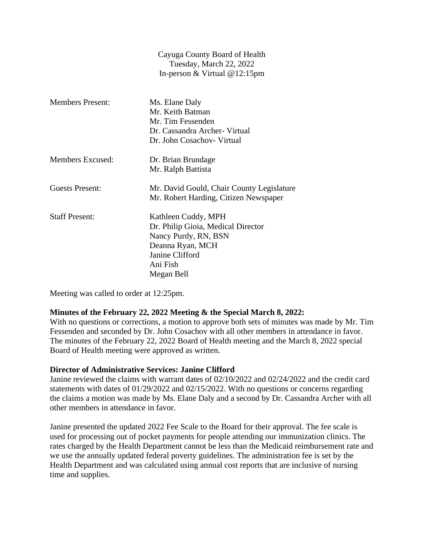|                         | $\alpha$ $\beta$ $\alpha$ $\beta$ $\alpha$ $\beta$ $\beta$ $\beta$ $\alpha$ $\alpha$ $\beta$ $\beta$ $\beta$ $\alpha$ $\beta$ $\beta$<br>Tuesday, March 22, 2022 |
|-------------------------|------------------------------------------------------------------------------------------------------------------------------------------------------------------|
|                         | In-person & Virtual $@12:15$ pm                                                                                                                                  |
| <b>Members Present:</b> | Ms. Elane Daly                                                                                                                                                   |
|                         | Mr. Keith Batman                                                                                                                                                 |
|                         | Mr. Tim Fessenden                                                                                                                                                |
|                         | Dr. Cassandra Archer- Virtual                                                                                                                                    |
|                         | Dr. John Cosachov- Virtual                                                                                                                                       |
| Members Excused:        | Dr. Brian Brundage                                                                                                                                               |
|                         | Mr. Ralph Battista                                                                                                                                               |
| <b>Guests Present:</b>  | Mr. David Gould, Chair County Legislature<br>Mr. Robert Harding, Citizen Newspaper                                                                               |
| <b>Staff Present:</b>   | Kathleen Cuddy, MPH                                                                                                                                              |
|                         | Dr. Philip Gioia, Medical Director                                                                                                                               |
|                         | Nancy Purdy, RN, BSN                                                                                                                                             |
|                         | Deanna Ryan, MCH                                                                                                                                                 |
|                         | Janine Clifford                                                                                                                                                  |
|                         | Ani Fish                                                                                                                                                         |
|                         | Megan Bell                                                                                                                                                       |

Meeting was called to order at 12:25pm.

# **Minutes of the February 22, 2022 Meeting & the Special March 8, 2022:**

With no questions or corrections, a motion to approve both sets of minutes was made by Mr. Tim Fessenden and seconded by Dr. John Cosachov with all other members in attendance in favor. The minutes of the February 22, 2022 Board of Health meeting and the March 8, 2022 special Board of Health meeting were approved as written.

Cayuga County Board of Health

### **Director of Administrative Services: Janine Clifford**

Janine reviewed the claims with warrant dates of 02/10/2022 and 02/24/2022 and the credit card statements with dates of 01/29/2022 and 02/15/2022. With no questions or concerns regarding the claims a motion was made by Ms. Elane Daly and a second by Dr. Cassandra Archer with all other members in attendance in favor.

Janine presented the updated 2022 Fee Scale to the Board for their approval. The fee scale is used for processing out of pocket payments for people attending our immunization clinics. The rates charged by the Health Department cannot be less than the Medicaid reimbursement rate and we use the annually updated federal poverty guidelines. The administration fee is set by the Health Department and was calculated using annual cost reports that are inclusive of nursing time and supplies.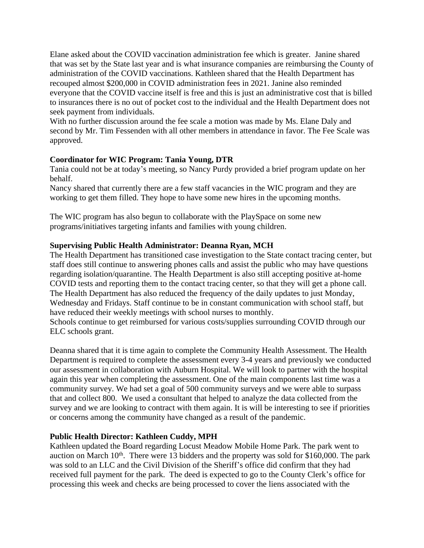Elane asked about the COVID vaccination administration fee which is greater. Janine shared that was set by the State last year and is what insurance companies are reimbursing the County of administration of the COVID vaccinations. Kathleen shared that the Health Department has recouped almost \$200,000 in COVID administration fees in 2021. Janine also reminded everyone that the COVID vaccine itself is free and this is just an administrative cost that is billed to insurances there is no out of pocket cost to the individual and the Health Department does not seek payment from individuals.

With no further discussion around the fee scale a motion was made by Ms. Elane Daly and second by Mr. Tim Fessenden with all other members in attendance in favor. The Fee Scale was approved.

# **Coordinator for WIC Program: Tania Young, DTR**

Tania could not be at today's meeting, so Nancy Purdy provided a brief program update on her behalf.

Nancy shared that currently there are a few staff vacancies in the WIC program and they are working to get them filled. They hope to have some new hires in the upcoming months.

The WIC program has also begun to collaborate with the PlaySpace on some new programs/initiatives targeting infants and families with young children.

## **Supervising Public Health Administrator: Deanna Ryan, MCH**

The Health Department has transitioned case investigation to the State contact tracing center, but staff does still continue to answering phones calls and assist the public who may have questions regarding isolation/quarantine. The Health Department is also still accepting positive at-home COVID tests and reporting them to the contact tracing center, so that they will get a phone call. The Health Department has also reduced the frequency of the daily updates to just Monday, Wednesday and Fridays. Staff continue to be in constant communication with school staff, but have reduced their weekly meetings with school nurses to monthly.

Schools continue to get reimbursed for various costs/supplies surrounding COVID through our ELC schools grant.

Deanna shared that it is time again to complete the Community Health Assessment. The Health Department is required to complete the assessment every 3-4 years and previously we conducted our assessment in collaboration with Auburn Hospital. We will look to partner with the hospital again this year when completing the assessment. One of the main components last time was a community survey. We had set a goal of 500 community surveys and we were able to surpass that and collect 800. We used a consultant that helped to analyze the data collected from the survey and we are looking to contract with them again. It is will be interesting to see if priorities or concerns among the community have changed as a result of the pandemic.

### **Public Health Director: Kathleen Cuddy, MPH**

Kathleen updated the Board regarding Locust Meadow Mobile Home Park. The park went to auction on March  $10<sup>th</sup>$ . There were 13 bidders and the property was sold for \$160,000. The park was sold to an LLC and the Civil Division of the Sheriff's office did confirm that they had received full payment for the park. The deed is expected to go to the County Clerk's office for processing this week and checks are being processed to cover the liens associated with the